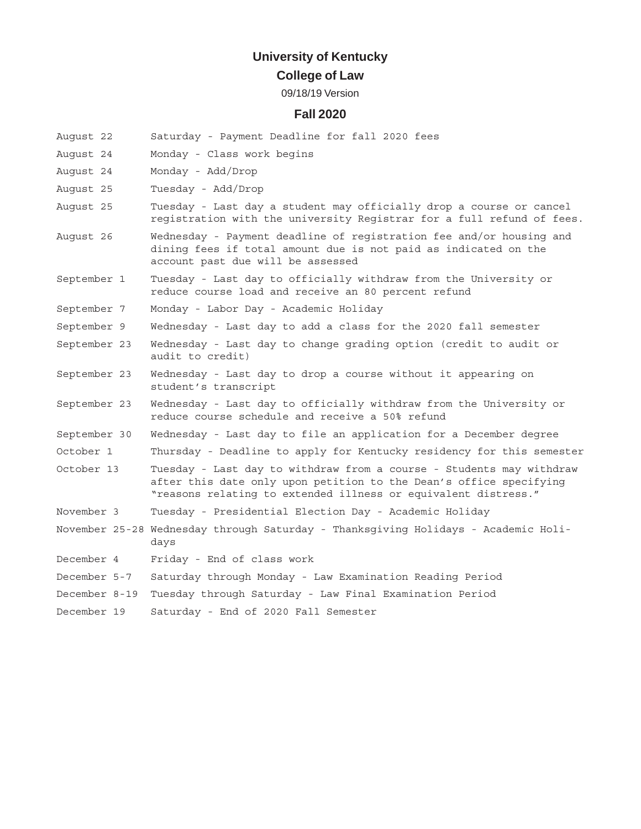# **University of Kentucky**

## **College of Law**

#### 09/18/19 Version

### **Fall 2020**

| August 22     | Saturday - Payment Deadline for fall 2020 fees                                                                                                                                                               |
|---------------|--------------------------------------------------------------------------------------------------------------------------------------------------------------------------------------------------------------|
| August 24     | Monday - Class work begins                                                                                                                                                                                   |
| August 24     | Monday - Add/Drop                                                                                                                                                                                            |
| August 25     | Tuesday - Add/Drop                                                                                                                                                                                           |
| August 25     | Tuesday - Last day a student may officially drop a course or cancel<br>registration with the university Registrar for a full refund of fees.                                                                 |
| August 26     | Wednesday - Payment deadline of registration fee and/or housing and<br>dining fees if total amount due is not paid as indicated on the<br>account past due will be assessed                                  |
| September 1   | Tuesday - Last day to officially withdraw from the University or<br>reduce course load and receive an 80 percent refund                                                                                      |
| September 7   | Monday - Labor Day - Academic Holiday                                                                                                                                                                        |
| September 9   | Wednesday - Last day to add a class for the 2020 fall semester                                                                                                                                               |
| September 23  | Wednesday - Last day to change grading option (credit to audit or<br>audit to credit)                                                                                                                        |
| September 23  | Wednesday - Last day to drop a course without it appearing on<br>student's transcript                                                                                                                        |
| September 23  | Wednesday - Last day to officially withdraw from the University or<br>reduce course schedule and receive a 50% refund                                                                                        |
| September 30  | Wednesday - Last day to file an application for a December degree                                                                                                                                            |
| October 1     | Thursday - Deadline to apply for Kentucky residency for this semester                                                                                                                                        |
| October 13    | Tuesday - Last day to withdraw from a course - Students may withdraw<br>after this date only upon petition to the Dean's office specifying<br>"reasons relating to extended illness or equivalent distress." |
| November 3    | Tuesday - Presidential Election Day - Academic Holiday                                                                                                                                                       |
|               | November 25-28 Wednesday through Saturday - Thanksgiving Holidays - Academic Holi-<br>days                                                                                                                   |
| December 4    | Friday - End of class work                                                                                                                                                                                   |
| December 5-7  | Saturday through Monday - Law Examination Reading Period                                                                                                                                                     |
| December 8-19 | Tuesday through Saturday - Law Final Examination Period                                                                                                                                                      |

December 19 Saturday - End of 2020 Fall Semester